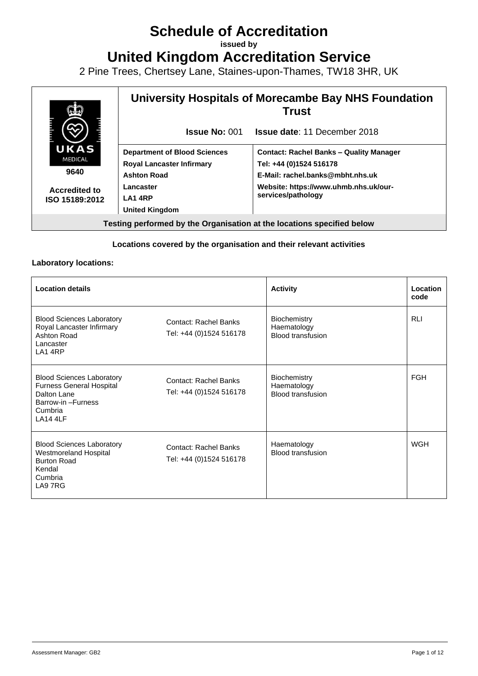# **Schedule of Accreditation**

**issued by**

**United Kingdom Accreditation Service**

2 Pine Trees, Chertsey Lane, Staines-upon-Thames, TW18 3HR, UK



#### **Locations covered by the organisation and their relevant activities**

#### **Laboratory locations:**

| <b>Location details</b>                                                                                                               |                                                         | <b>Activity</b>                                                | Location<br>code |
|---------------------------------------------------------------------------------------------------------------------------------------|---------------------------------------------------------|----------------------------------------------------------------|------------------|
| <b>Blood Sciences Laboratory</b><br>Royal Lancaster Infirmary<br>Ashton Road<br>Lancaster<br>LA1 4RP                                  | <b>Contact: Rachel Banks</b><br>Tel: +44 (0)1524 516178 | Biochemistry<br>Haematology<br><b>Blood transfusion</b>        | <b>RLI</b>       |
| <b>Blood Sciences Laboratory</b><br><b>Furness General Hospital</b><br>Dalton Lane<br>Barrow-in-Furness<br>Cumbria<br><b>LA14 4LF</b> | <b>Contact: Rachel Banks</b><br>Tel: +44 (0)1524 516178 | <b>Biochemistry</b><br>Haematology<br><b>Blood transfusion</b> | <b>FGH</b>       |
| <b>Blood Sciences Laboratory</b><br>Westmoreland Hospital<br><b>Burton Road</b><br>Kendal<br>Cumbria<br>LA9 7RG                       | Contact: Rachel Banks<br>Tel: +44 (0)1524 516178        | Haematology<br><b>Blood transfusion</b>                        | <b>WGH</b>       |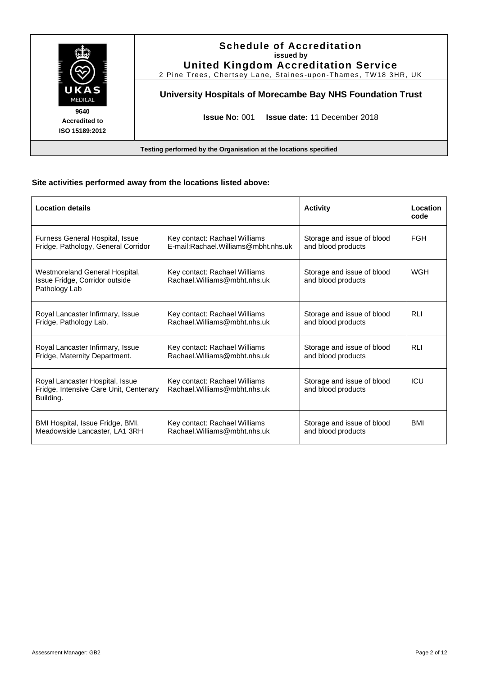|                                                | <b>Schedule of Accreditation</b><br>issued by<br><b>United Kingdom Accreditation Service</b><br>2 Pine Trees, Chertsey Lane, Staines-upon-Thames, TW18 3HR, UK |
|------------------------------------------------|----------------------------------------------------------------------------------------------------------------------------------------------------------------|
| UKAS<br><b>MEDICAL</b>                         | University Hospitals of Morecambe Bay NHS Foundation Trust                                                                                                     |
| 9640<br><b>Accredited to</b><br>ISO 15189:2012 | <b>Issue No: 001</b><br><b>Issue date: 11 December 2018</b>                                                                                                    |

## **Site activities performed away from the locations listed above:**

| <b>Location details</b>                                                                |                                                                | <b>Activity</b>                                  | Location<br>code |
|----------------------------------------------------------------------------------------|----------------------------------------------------------------|--------------------------------------------------|------------------|
| Furness General Hospital, Issue                                                        | Key contact: Rachael Williams                                  | Storage and issue of blood                       | <b>FGH</b>       |
| Fridge, Pathology, General Corridor                                                    | E-mail:Rachael.Williams@mbht.nhs.uk                            | and blood products                               |                  |
| Westmoreland General Hospital,<br>Issue Fridge, Corridor outside<br>Pathology Lab      | Key contact: Rachael Williams<br>Rachael. Williams@mbht.nhs.uk | Storage and issue of blood<br>and blood products | <b>WGH</b>       |
| Royal Lancaster Infirmary, Issue                                                       | Key contact: Rachael Williams                                  | Storage and issue of blood                       | <b>RLI</b>       |
| Fridge, Pathology Lab.                                                                 | Rachael. Williams@mbht.nhs.uk                                  | and blood products                               |                  |
| Royal Lancaster Infirmary, Issue                                                       | Key contact: Rachael Williams                                  | Storage and issue of blood                       | <b>RLI</b>       |
| Fridge, Maternity Department.                                                          | Rachael. Williams@mbht.nhs.uk                                  | and blood products                               |                  |
| Royal Lancaster Hospital, Issue<br>Fridge, Intensive Care Unit, Centenary<br>Building. | Key contact: Rachael Williams<br>Rachael. Williams@mbht.nhs.uk | Storage and issue of blood<br>and blood products | ICU              |
| BMI Hospital, Issue Fridge, BMI,                                                       | Key contact: Rachael Williams                                  | Storage and issue of blood                       | BMI              |
| Meadowside Lancaster, LA1 3RH                                                          | Rachael. Williams@mbht.nhs.uk                                  | and blood products                               |                  |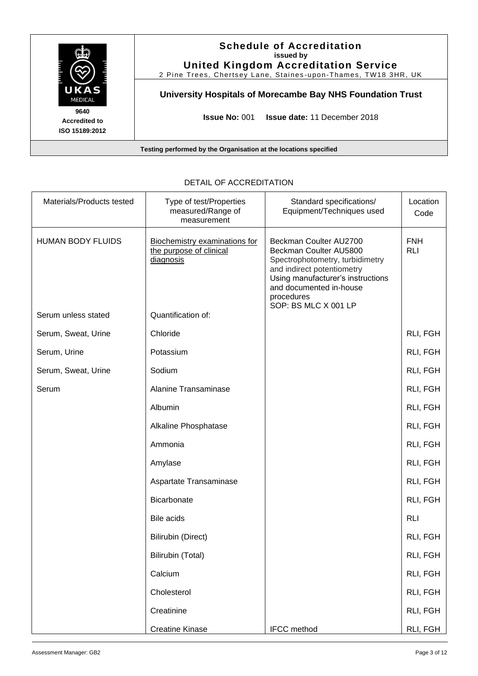

| Materials/Products tested | Type of test/Properties<br>measured/Range of<br>measurement           | Standard specifications/<br>Equipment/Techniques used                                                                                                                                                                   | Location<br>Code         |
|---------------------------|-----------------------------------------------------------------------|-------------------------------------------------------------------------------------------------------------------------------------------------------------------------------------------------------------------------|--------------------------|
| <b>HUMAN BODY FLUIDS</b>  | Biochemistry examinations for<br>the purpose of clinical<br>diagnosis | Beckman Coulter AU2700<br>Beckman Coulter AU5800<br>Spectrophotometry, turbidimetry<br>and indirect potentiometry<br>Using manufacturer's instructions<br>and documented in-house<br>procedures<br>SOP: BS MLC X 001 LP | <b>FNH</b><br><b>RLI</b> |
| Serum unless stated       | Quantification of:                                                    |                                                                                                                                                                                                                         |                          |
| Serum, Sweat, Urine       | Chloride                                                              |                                                                                                                                                                                                                         | RLI, FGH                 |
| Serum, Urine              | Potassium                                                             |                                                                                                                                                                                                                         | RLI, FGH                 |
| Serum, Sweat, Urine       | Sodium                                                                |                                                                                                                                                                                                                         | RLI, FGH                 |
| Serum                     | <b>Alanine Transaminase</b>                                           |                                                                                                                                                                                                                         | RLI, FGH                 |
|                           | Albumin                                                               |                                                                                                                                                                                                                         | RLI, FGH                 |
|                           | Alkaline Phosphatase                                                  |                                                                                                                                                                                                                         | RLI, FGH                 |
|                           | Ammonia                                                               |                                                                                                                                                                                                                         | RLI, FGH                 |
|                           | Amylase                                                               |                                                                                                                                                                                                                         | RLI, FGH                 |
|                           | Aspartate Transaminase                                                |                                                                                                                                                                                                                         | RLI, FGH                 |
|                           | <b>Bicarbonate</b>                                                    |                                                                                                                                                                                                                         | RLI, FGH                 |
|                           | <b>Bile acids</b>                                                     |                                                                                                                                                                                                                         | <b>RLI</b>               |
|                           | <b>Bilirubin (Direct)</b>                                             |                                                                                                                                                                                                                         | RLI, FGH                 |
|                           | Bilirubin (Total)                                                     |                                                                                                                                                                                                                         | RLI, FGH                 |
|                           | Calcium                                                               |                                                                                                                                                                                                                         | RLI, FGH                 |
|                           | Cholesterol                                                           |                                                                                                                                                                                                                         | RLI, FGH                 |
|                           | Creatinine                                                            |                                                                                                                                                                                                                         | RLI, FGH                 |
|                           | <b>Creatine Kinase</b>                                                | IFCC method                                                                                                                                                                                                             | RLI, FGH                 |

### DETAIL OF ACCREDITATION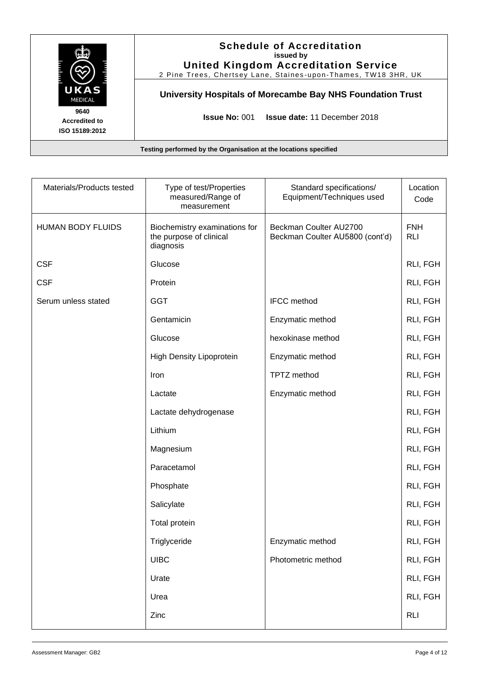|                                                | <b>Schedule of Accreditation</b><br>issued by<br><b>United Kingdom Accreditation Service</b><br>2 Pine Trees, Chertsey Lane, Staines-upon-Thames, TW18 3HR, UK |
|------------------------------------------------|----------------------------------------------------------------------------------------------------------------------------------------------------------------|
| UKAS<br><b>MEDICAL</b>                         | University Hospitals of Morecambe Bay NHS Foundation Trust                                                                                                     |
| 9640<br><b>Accredited to</b><br>ISO 15189:2012 | <b>Issue No: 001</b><br><b>Issue date: 11 December 2018</b>                                                                                                    |

| Materials/Products tested | Type of test/Properties<br>measured/Range of<br>measurement           | Standard specifications/<br>Equipment/Techniques used     | Location<br>Code         |
|---------------------------|-----------------------------------------------------------------------|-----------------------------------------------------------|--------------------------|
| <b>HUMAN BODY FLUIDS</b>  | Biochemistry examinations for<br>the purpose of clinical<br>diagnosis | Beckman Coulter AU2700<br>Beckman Coulter AU5800 (cont'd) | <b>FNH</b><br><b>RLI</b> |
| <b>CSF</b>                | Glucose                                                               |                                                           | RLI, FGH                 |
| <b>CSF</b>                | Protein                                                               |                                                           | RLI, FGH                 |
| Serum unless stated       | <b>GGT</b>                                                            | <b>IFCC</b> method                                        | RLI, FGH                 |
|                           | Gentamicin                                                            | Enzymatic method                                          | RLI, FGH                 |
|                           | Glucose                                                               | hexokinase method                                         | RLI, FGH                 |
|                           | <b>High Density Lipoprotein</b>                                       | Enzymatic method                                          | RLI, FGH                 |
|                           | Iron                                                                  | TPTZ method                                               | RLI, FGH                 |
|                           | Lactate                                                               | Enzymatic method                                          | RLI, FGH                 |
|                           | Lactate dehydrogenase                                                 |                                                           | RLI, FGH                 |
|                           | Lithium                                                               |                                                           | RLI, FGH                 |
|                           | Magnesium                                                             |                                                           | RLI, FGH                 |
|                           | Paracetamol                                                           |                                                           | RLI, FGH                 |
|                           | Phosphate                                                             |                                                           | RLI, FGH                 |
|                           | Salicylate                                                            |                                                           | RLI, FGH                 |
|                           | <b>Total protein</b>                                                  |                                                           | RLI, FGH                 |
|                           | Triglyceride                                                          | Enzymatic method                                          | RLI, FGH                 |
|                           | <b>UIBC</b>                                                           | Photometric method                                        | RLI, FGH                 |
|                           | Urate                                                                 |                                                           | RLI, FGH                 |
|                           | Urea                                                                  |                                                           | RLI, FGH                 |
|                           | Zinc                                                                  |                                                           | <b>RLI</b>               |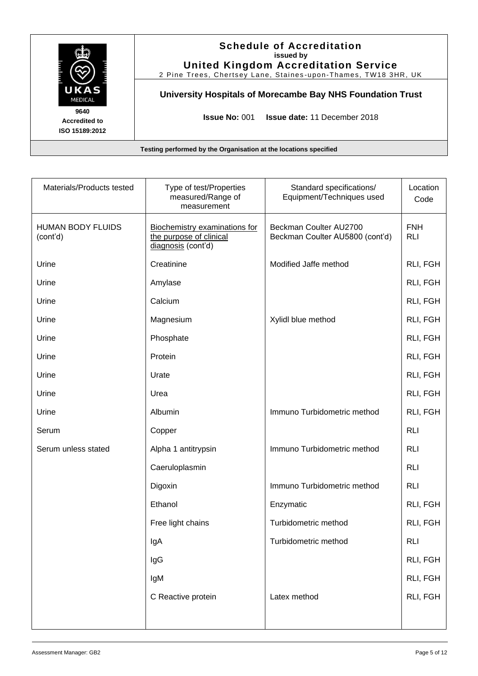|                                                | <b>Schedule of Accreditation</b><br>issued by<br><b>United Kingdom Accreditation Service</b><br>2 Pine Trees, Chertsey Lane, Staines-upon-Thames, TW18 3HR, UK |
|------------------------------------------------|----------------------------------------------------------------------------------------------------------------------------------------------------------------|
| UKAS<br><b>MEDICAL</b>                         | University Hospitals of Morecambe Bay NHS Foundation Trust                                                                                                     |
| 9640<br><b>Accredited to</b><br>ISO 15189:2012 | <b>Issue No: 001</b><br><b>Issue date: 11 December 2018</b>                                                                                                    |

| Materials/Products tested            | Type of test/Properties<br>measured/Range of<br>measurement                    | Standard specifications/<br>Equipment/Techniques used     | Location<br>Code         |
|--------------------------------------|--------------------------------------------------------------------------------|-----------------------------------------------------------|--------------------------|
| <b>HUMAN BODY FLUIDS</b><br>(cont'd) | Biochemistry examinations for<br>the purpose of clinical<br>diagnosis (cont'd) | Beckman Coulter AU2700<br>Beckman Coulter AU5800 (cont'd) | <b>FNH</b><br><b>RLI</b> |
| Urine                                | Creatinine                                                                     | Modified Jaffe method                                     | RLI, FGH                 |
| Urine                                | Amylase                                                                        |                                                           | RLI, FGH                 |
| Urine                                | Calcium                                                                        |                                                           | RLI, FGH                 |
| Urine                                | Magnesium                                                                      | Xylidl blue method                                        | RLI, FGH                 |
| Urine                                | Phosphate                                                                      |                                                           | RLI, FGH                 |
| Urine                                | Protein                                                                        |                                                           | RLI, FGH                 |
| Urine                                | Urate                                                                          |                                                           | RLI, FGH                 |
| Urine                                | Urea                                                                           |                                                           | RLI, FGH                 |
| Urine                                | Albumin                                                                        | Immuno Turbidometric method                               | RLI, FGH                 |
| Serum                                | Copper                                                                         |                                                           | <b>RLI</b>               |
| Serum unless stated                  | Alpha 1 antitrypsin                                                            | Immuno Turbidometric method                               | <b>RLI</b>               |
|                                      | Caeruloplasmin                                                                 |                                                           | <b>RLI</b>               |
|                                      | Digoxin                                                                        | Immuno Turbidometric method                               | <b>RLI</b>               |
|                                      | Ethanol                                                                        | Enzymatic                                                 | RLI, FGH                 |
|                                      | Free light chains                                                              | Turbidometric method                                      | RLI, FGH                 |
|                                      | lgA                                                                            | Turbidometric method                                      | <b>RLI</b>               |
|                                      | IgG                                                                            |                                                           | RLI, FGH                 |
|                                      | IgM                                                                            |                                                           | RLI, FGH                 |
|                                      | C Reactive protein                                                             | Latex method                                              | RLI, FGH                 |
|                                      |                                                                                |                                                           |                          |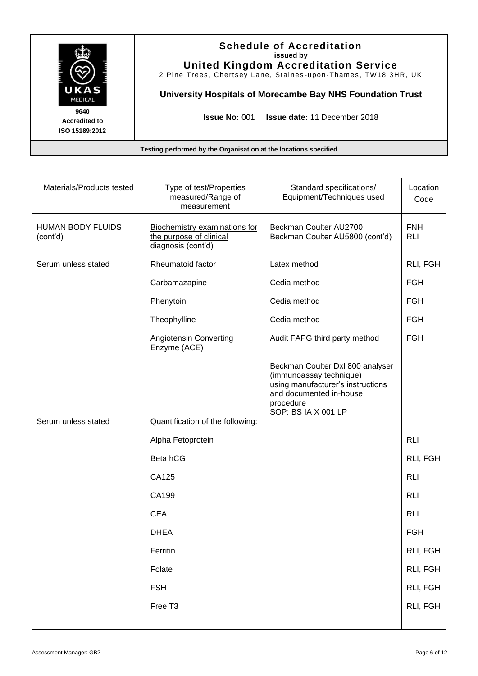|                                                | <b>Schedule of Accreditation</b><br>issued by<br><b>United Kingdom Accreditation Service</b><br>2 Pine Trees, Chertsey Lane, Staines-upon-Thames, TW18 3HR, UK |
|------------------------------------------------|----------------------------------------------------------------------------------------------------------------------------------------------------------------|
| UKAS<br>MEDICAL                                | University Hospitals of Morecambe Bay NHS Foundation Trust                                                                                                     |
| 9640<br><b>Accredited to</b><br>ISO 15189:2012 | <b>Issue No: 001</b><br><b>Issue date: 11 December 2018</b>                                                                                                    |

| Materials/Products tested            | Type of test/Properties<br>measured/Range of<br>measurement                           | Standard specifications/<br>Equipment/Techniques used                                                                                                           | Location<br>Code         |
|--------------------------------------|---------------------------------------------------------------------------------------|-----------------------------------------------------------------------------------------------------------------------------------------------------------------|--------------------------|
| <b>HUMAN BODY FLUIDS</b><br>(cont'd) | <b>Biochemistry examinations for</b><br>the purpose of clinical<br>diagnosis (cont'd) | Beckman Coulter AU2700<br>Beckman Coulter AU5800 (cont'd)                                                                                                       | <b>FNH</b><br><b>RLI</b> |
| Serum unless stated                  | Rheumatoid factor                                                                     | Latex method                                                                                                                                                    | RLI, FGH                 |
|                                      | Carbamazapine                                                                         | Cedia method                                                                                                                                                    | <b>FGH</b>               |
|                                      | Phenytoin                                                                             | Cedia method                                                                                                                                                    | <b>FGH</b>               |
|                                      | Theophylline                                                                          | Cedia method                                                                                                                                                    | <b>FGH</b>               |
|                                      | Angiotensin Converting<br>Enzyme (ACE)                                                | Audit FAPG third party method                                                                                                                                   | <b>FGH</b>               |
|                                      |                                                                                       | Beckman Coulter Dxl 800 analyser<br>(immunoassay technique)<br>using manufacturer's instructions<br>and documented in-house<br>procedure<br>SOP: BS IA X 001 LP |                          |
| Serum unless stated                  | Quantification of the following:                                                      |                                                                                                                                                                 |                          |
|                                      | Alpha Fetoprotein                                                                     |                                                                                                                                                                 | <b>RLI</b>               |
|                                      | Beta hCG                                                                              |                                                                                                                                                                 | RLI, FGH                 |
|                                      | CA125                                                                                 |                                                                                                                                                                 | <b>RLI</b>               |
|                                      | CA199                                                                                 |                                                                                                                                                                 | <b>RLI</b>               |
|                                      | <b>CEA</b>                                                                            |                                                                                                                                                                 | <b>RLI</b>               |
|                                      | <b>DHEA</b>                                                                           |                                                                                                                                                                 | <b>FGH</b>               |
|                                      | Ferritin                                                                              |                                                                                                                                                                 | RLI, FGH                 |
|                                      | Folate                                                                                |                                                                                                                                                                 | RLI, FGH                 |
|                                      | <b>FSH</b>                                                                            |                                                                                                                                                                 | RLI, FGH                 |
|                                      | Free T3                                                                               |                                                                                                                                                                 | RLI, FGH                 |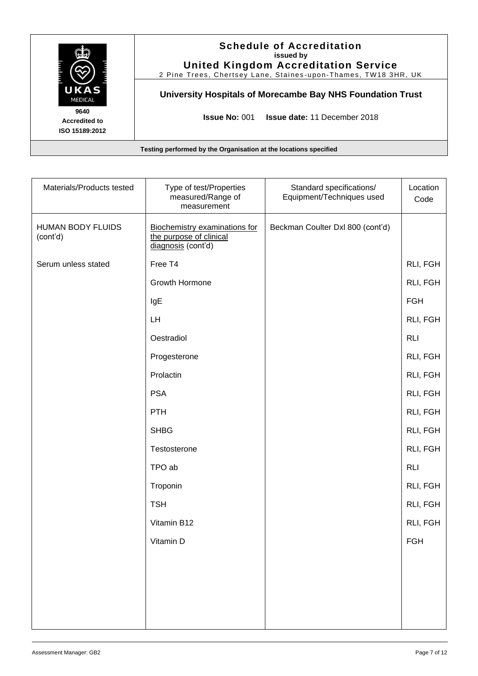|                                                | <b>Schedule of Accreditation</b><br>issued by<br><b>United Kingdom Accreditation Service</b><br>2 Pine Trees, Chertsey Lane, Staines-upon-Thames, TW18 3HR, UK |
|------------------------------------------------|----------------------------------------------------------------------------------------------------------------------------------------------------------------|
| UKAS<br><b>MEDICAL</b>                         | University Hospitals of Morecambe Bay NHS Foundation Trust                                                                                                     |
| 9640<br><b>Accredited to</b><br>ISO 15189:2012 | <b>Issue No: 001</b><br><b>Issue date: 11 December 2018</b>                                                                                                    |

| Materials/Products tested            | Type of test/Properties<br>measured/Range of<br>measurement                           | Standard specifications/<br>Equipment/Techniques used | Location<br>Code |
|--------------------------------------|---------------------------------------------------------------------------------------|-------------------------------------------------------|------------------|
| <b>HUMAN BODY FLUIDS</b><br>(cont'd) | <b>Biochemistry examinations for</b><br>the purpose of clinical<br>diagnosis (cont'd) | Beckman Coulter Dxl 800 (cont'd)                      |                  |
| Serum unless stated                  | Free T4                                                                               |                                                       | RLI, FGH         |
|                                      | Growth Hormone                                                                        |                                                       | RLI, FGH         |
|                                      | IgE                                                                                   |                                                       | <b>FGH</b>       |
|                                      | LH                                                                                    |                                                       | RLI, FGH         |
|                                      | Oestradiol                                                                            |                                                       | <b>RLI</b>       |
|                                      | Progesterone                                                                          |                                                       | RLI, FGH         |
|                                      | Prolactin                                                                             |                                                       | RLI, FGH         |
|                                      | <b>PSA</b>                                                                            |                                                       | RLI, FGH         |
|                                      | <b>PTH</b>                                                                            |                                                       | RLI, FGH         |
|                                      | <b>SHBG</b>                                                                           |                                                       | RLI, FGH         |
|                                      | Testosterone                                                                          |                                                       | RLI, FGH         |
|                                      | TPO ab                                                                                |                                                       | <b>RLI</b>       |
|                                      | Troponin                                                                              |                                                       | RLI, FGH         |
|                                      | <b>TSH</b>                                                                            |                                                       | RLI, FGH         |
|                                      | Vitamin B12                                                                           |                                                       | RLI, FGH         |
|                                      | Vitamin D                                                                             |                                                       | <b>FGH</b>       |
|                                      |                                                                                       |                                                       |                  |
|                                      |                                                                                       |                                                       |                  |
|                                      |                                                                                       |                                                       |                  |
|                                      |                                                                                       |                                                       |                  |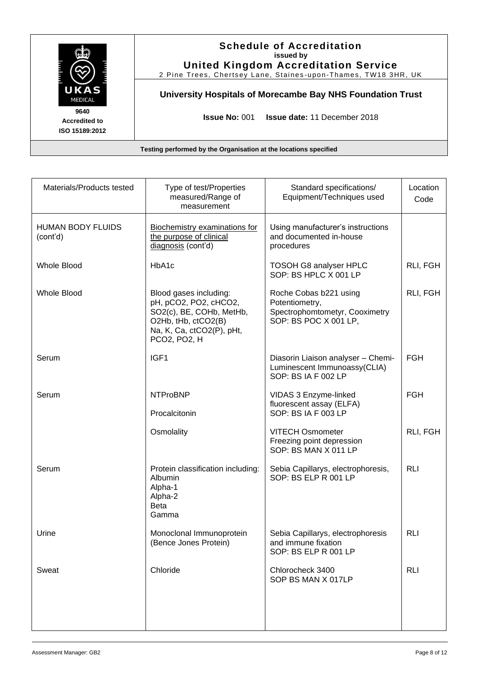|                                                | <b>Schedule of Accreditation</b><br>issued by<br><b>United Kingdom Accreditation Service</b><br>2 Pine Trees, Chertsey Lane, Staines-upon-Thames, TW18 3HR, UK |
|------------------------------------------------|----------------------------------------------------------------------------------------------------------------------------------------------------------------|
| UKAS<br><b>MEDICAL</b>                         | University Hospitals of Morecambe Bay NHS Foundation Trust                                                                                                     |
| 9640<br><b>Accredited to</b><br>ISO 15189:2012 | <b>Issue No: 001</b><br><b>Issue date: 11 December 2018</b>                                                                                                    |
|                                                | Testing performed by the Organisation at the locations specified                                                                                               |

| Materials/Products tested            | Type of test/Properties<br>measured/Range of<br>measurement                                                                                     | Standard specifications/<br>Equipment/Techniques used                                               | Location<br>Code |
|--------------------------------------|-------------------------------------------------------------------------------------------------------------------------------------------------|-----------------------------------------------------------------------------------------------------|------------------|
| <b>HUMAN BODY FLUIDS</b><br>(cont'd) | Biochemistry examinations for<br>the purpose of clinical<br>diagnosis (cont'd)                                                                  | Using manufacturer's instructions<br>and documented in-house<br>procedures                          |                  |
| <b>Whole Blood</b>                   | HbA1c                                                                                                                                           | TOSOH G8 analyser HPLC<br>SOP: BS HPLC X 001 LP                                                     | RLI, FGH         |
| <b>Whole Blood</b>                   | Blood gases including:<br>pH, pCO2, PO2, cHCO2,<br>SO2(c), BE, COHb, MetHb,<br>O2Hb, tHb, ctCO2(B)<br>Na, K, Ca, ctCO2(P), pHt,<br>PCO2, PO2, H | Roche Cobas b221 using<br>Potentiometry,<br>Spectrophomtometyr, Cooximetry<br>SOP: BS POC X 001 LP, | RLI, FGH         |
| Serum                                | IGF1                                                                                                                                            | Diasorin Liaison analyser - Chemi-<br>Luminescent Immunoassy(CLIA)<br>SOP: BS IA F 002 LP           | <b>FGH</b>       |
| Serum                                | <b>NTProBNP</b><br>Procalcitonin                                                                                                                | VIDAS 3 Enzyme-linked<br>fluorescent assay (ELFA)<br>SOP: BS IA F 003 LP                            | <b>FGH</b>       |
|                                      | Osmolality                                                                                                                                      | <b>VITECH Osmometer</b><br>Freezing point depression<br>SOP: BS MAN X 011 LP                        | RLI, FGH         |
| Serum                                | Protein classification including:<br>Albumin<br>Alpha-1<br>Alpha-2<br><b>Beta</b><br>Gamma                                                      | Sebia Capillarys, electrophoresis,<br>SOP: BS ELP R 001 LP                                          | <b>RLI</b>       |
| Urine                                | Monoclonal Immunoprotein<br>(Bence Jones Protein)                                                                                               | Sebia Capillarys, electrophoresis<br>and immune fixation<br>SOP: BS ELP R 001 LP                    | <b>RLI</b>       |
| Sweat                                | Chloride                                                                                                                                        | Chlorocheck 3400<br>SOP BS MAN X 017LP                                                              | <b>RLI</b>       |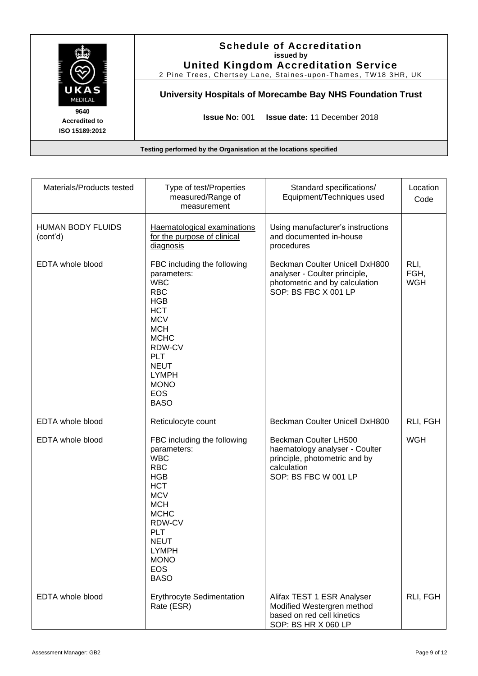|                                                | <b>Schedule of Accreditation</b><br>issued by<br><b>United Kingdom Accreditation Service</b><br>2 Pine Trees, Chertsey Lane, Staines-upon-Thames, TW18 3HR, UK |  |  |
|------------------------------------------------|----------------------------------------------------------------------------------------------------------------------------------------------------------------|--|--|
| UKAS<br><b>MEDICAL</b>                         | University Hospitals of Morecambe Bay NHS Foundation Trust                                                                                                     |  |  |
| 9640<br><b>Accredited to</b><br>ISO 15189:2012 | <b>Issue No: 001</b><br><b>Issue date: 11 December 2018</b>                                                                                                    |  |  |
|                                                | Testing performed by the Organisation at the locations specified                                                                                               |  |  |

| Materials/Products tested            | Type of test/Properties<br>measured/Range of<br>measurement                                                                                                                                                                                      | Standard specifications/<br>Equipment/Techniques used                                                                           | Location<br>Code           |
|--------------------------------------|--------------------------------------------------------------------------------------------------------------------------------------------------------------------------------------------------------------------------------------------------|---------------------------------------------------------------------------------------------------------------------------------|----------------------------|
| <b>HUMAN BODY FLUIDS</b><br>(cont'd) | Haematological examinations<br>for the purpose of clinical<br>diagnosis                                                                                                                                                                          | Using manufacturer's instructions<br>and documented in-house<br>procedures                                                      |                            |
| EDTA whole blood                     | FBC including the following<br>parameters:<br><b>WBC</b><br><b>RBC</b><br><b>HGB</b><br><b>HCT</b><br><b>MCV</b><br><b>MCH</b><br><b>MCHC</b><br>RDW-CV<br><b>PLT</b><br><b>NEUT</b><br><b>LYMPH</b><br><b>MONO</b><br><b>EOS</b><br><b>BASO</b> | Beckman Coulter Unicell DxH800<br>analyser - Coulter principle,<br>photometric and by calculation<br>SOP: BS FBC X 001 LP       | RLI,<br>FGH,<br><b>WGH</b> |
| EDTA whole blood                     | Reticulocyte count                                                                                                                                                                                                                               | Beckman Coulter Unicell DxH800                                                                                                  | RLI, FGH                   |
| EDTA whole blood                     | FBC including the following<br>parameters:<br><b>WBC</b><br><b>RBC</b><br><b>HGB</b><br><b>HCT</b><br><b>MCV</b><br><b>MCH</b><br><b>MCHC</b><br>RDW-CV<br><b>PLT</b><br><b>NEUT</b><br><b>LYMPH</b><br><b>MONO</b><br><b>EOS</b><br><b>BASO</b> | Beckman Coulter LH500<br>haematology analyser - Coulter<br>principle, photometric and by<br>calculation<br>SOP: BS FBC W 001 LP | <b>WGH</b>                 |
| <b>EDTA</b> whole blood              | Erythrocyte Sedimentation<br>Rate (ESR)                                                                                                                                                                                                          | Alifax TEST 1 ESR Analyser<br>Modified Westergren method<br>based on red cell kinetics<br>SOP: BS HR X 060 LP                   | RLI, FGH                   |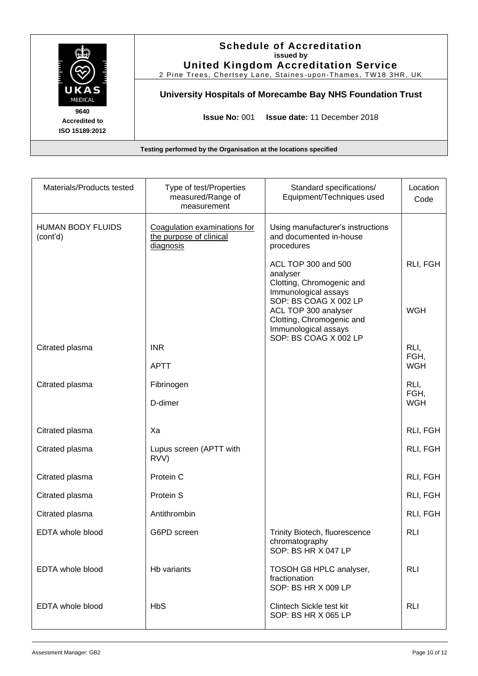|                                                | <b>Schedule of Accreditation</b><br>issued by<br><b>United Kingdom Accreditation Service</b><br>2 Pine Trees, Chertsey Lane, Staines-upon-Thames, TW18 3HR, UK |
|------------------------------------------------|----------------------------------------------------------------------------------------------------------------------------------------------------------------|
| UKAS<br>MEDICAL                                | University Hospitals of Morecambe Bay NHS Foundation Trust                                                                                                     |
| 9640<br><b>Accredited to</b><br>ISO 15189:2012 | <b>Issue No: 001 Issue date: 11 December 2018</b>                                                                                                              |

| Materials/Products tested            | Type of test/Properties<br>measured/Range of<br>measurement          | Standard specifications/<br>Equipment/Techniques used                                                                       | Location<br>Code   |
|--------------------------------------|----------------------------------------------------------------------|-----------------------------------------------------------------------------------------------------------------------------|--------------------|
| <b>HUMAN BODY FLUIDS</b><br>(cont'd) | Coagulation examinations for<br>the purpose of clinical<br>diagnosis | Using manufacturer's instructions<br>and documented in-house<br>procedures                                                  |                    |
|                                      |                                                                      | ACL TOP 300 and 500<br>analyser<br>Clotting, Chromogenic and<br>Immunological assays                                        | RLI, FGH           |
|                                      |                                                                      | SOP: BS COAG X 002 LP<br>ACL TOP 300 analyser<br>Clotting, Chromogenic and<br>Immunological assays<br>SOP: BS COAG X 002 LP | <b>WGH</b>         |
| Citrated plasma                      | <b>INR</b>                                                           |                                                                                                                             | RLI,               |
|                                      | <b>APTT</b>                                                          |                                                                                                                             | FGH,<br><b>WGH</b> |
| Citrated plasma                      | Fibrinogen                                                           |                                                                                                                             | RLI,<br>FGH,       |
|                                      | D-dimer                                                              |                                                                                                                             | <b>WGH</b>         |
| Citrated plasma                      | Xa                                                                   |                                                                                                                             | RLI, FGH           |
| Citrated plasma                      | Lupus screen (APTT with<br>RVV)                                      |                                                                                                                             | RLI, FGH           |
| Citrated plasma                      | Protein C                                                            |                                                                                                                             | RLI, FGH           |
| Citrated plasma                      | Protein S                                                            |                                                                                                                             | RLI, FGH           |
| Citrated plasma                      | Antithrombin                                                         |                                                                                                                             | RLI, FGH           |
| EDTA whole blood                     | G6PD screen                                                          | <b>Trinity Biotech, fluorescence</b><br>chromatography<br>SOP: BS HR X 047 LP                                               | <b>RLI</b>         |
| <b>EDTA</b> whole blood              | Hb variants                                                          | TOSOH G8 HPLC analyser,<br>fractionation<br>SOP: BS HR X 009 LP                                                             | <b>RLI</b>         |
| <b>EDTA</b> whole blood              | <b>HbS</b>                                                           | Clintech Sickle test kit<br>SOP: BS HR X 065 LP                                                                             | <b>RLI</b>         |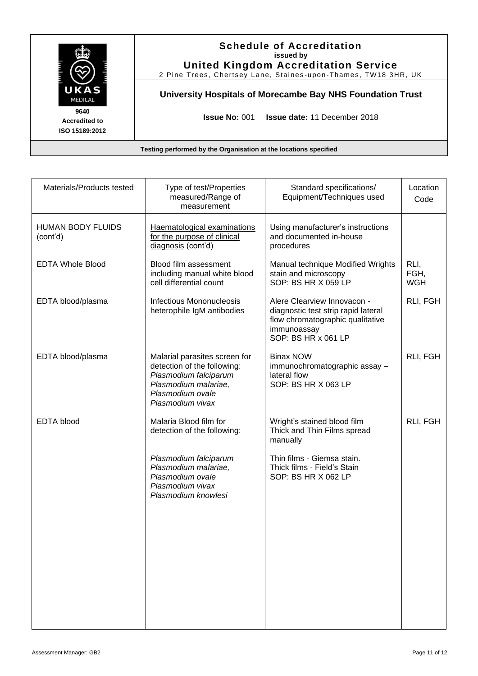|                                                                  | <b>Schedule of Accreditation</b><br>issued by<br><b>United Kingdom Accreditation Service</b><br>2 Pine Trees, Chertsey Lane, Staines-upon-Thames, TW18 3HR, UK |  |
|------------------------------------------------------------------|----------------------------------------------------------------------------------------------------------------------------------------------------------------|--|
| UKAS<br><b>MEDICAL</b>                                           | University Hospitals of Morecambe Bay NHS Foundation Trust                                                                                                     |  |
| 9640<br><b>Accredited to</b><br>ISO 15189:2012                   | <b>Issue No: 001</b><br><b>Issue date: 11 December 2018</b>                                                                                                    |  |
| Testing performed by the Organisation at the locations specified |                                                                                                                                                                |  |

| Materials/Products tested            | Type of test/Properties<br>measured/Range of<br>measurement                                                                                           | Standard specifications/<br>Equipment/Techniques used                                                                                        | Location<br>Code           |
|--------------------------------------|-------------------------------------------------------------------------------------------------------------------------------------------------------|----------------------------------------------------------------------------------------------------------------------------------------------|----------------------------|
| <b>HUMAN BODY FLUIDS</b><br>(cont'd) | Haematological examinations<br>for the purpose of clinical<br>diagnosis (cont'd)                                                                      | Using manufacturer's instructions<br>and documented in-house<br>procedures                                                                   |                            |
| <b>EDTA Whole Blood</b>              | Blood film assessment<br>including manual white blood<br>cell differential count                                                                      | Manual technique Modified Wrights<br>stain and microscopy<br>SOP: BS HR X 059 LP                                                             | RLI,<br>FGH,<br><b>WGH</b> |
| EDTA blood/plasma                    | <b>Infectious Mononucleosis</b><br>heterophile IgM antibodies                                                                                         | Alere Clearview Innovacon -<br>diagnostic test strip rapid lateral<br>flow chromatographic qualitative<br>immunoassay<br>SOP: BS HR x 061 LP | RLI, FGH                   |
| EDTA blood/plasma                    | Malarial parasites screen for<br>detection of the following:<br>Plasmodium falciparum<br>Plasmodium malariae,<br>Plasmodium ovale<br>Plasmodium vivax | <b>Binax NOW</b><br>immunochromatographic assay -<br>lateral flow<br>SOP: BS HR X 063 LP                                                     | RLI, FGH                   |
| <b>EDTA</b> blood                    | Malaria Blood film for<br>detection of the following:                                                                                                 | Wright's stained blood film<br>Thick and Thin Films spread<br>manually                                                                       | RLI, FGH                   |
|                                      | Plasmodium falciparum<br>Plasmodium malariae,<br>Plasmodium ovale<br>Plasmodium vivax<br>Plasmodium knowlesi                                          | Thin films - Giemsa stain.<br>Thick films - Field's Stain<br>SOP: BS HR X 062 LP                                                             |                            |
|                                      |                                                                                                                                                       |                                                                                                                                              |                            |